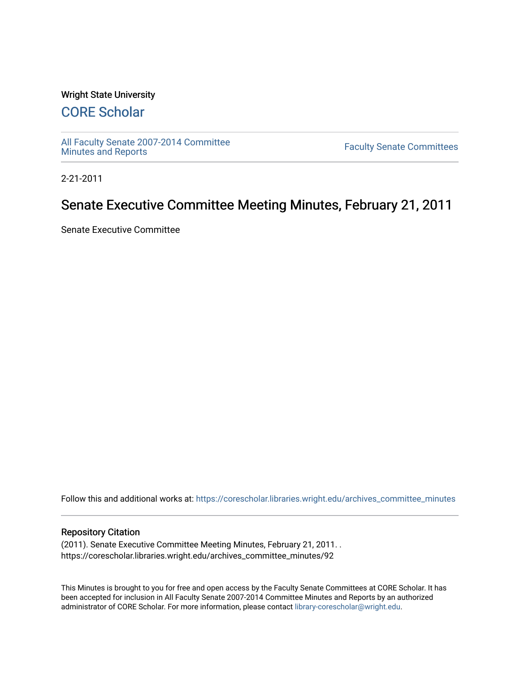### Wright State University

# [CORE Scholar](https://corescholar.libraries.wright.edu/)

[All Faculty Senate 2007-2014 Committee](https://corescholar.libraries.wright.edu/archives_committee_minutes)

**Faculty Senate Committees** 

2-21-2011

# Senate Executive Committee Meeting Minutes, February 21, 2011

Senate Executive Committee

Follow this and additional works at: [https://corescholar.libraries.wright.edu/archives\\_committee\\_minutes](https://corescholar.libraries.wright.edu/archives_committee_minutes?utm_source=corescholar.libraries.wright.edu%2Farchives_committee_minutes%2F92&utm_medium=PDF&utm_campaign=PDFCoverPages) 

### Repository Citation

(2011). Senate Executive Committee Meeting Minutes, February 21, 2011. . https://corescholar.libraries.wright.edu/archives\_committee\_minutes/92

This Minutes is brought to you for free and open access by the Faculty Senate Committees at CORE Scholar. It has been accepted for inclusion in All Faculty Senate 2007-2014 Committee Minutes and Reports by an authorized administrator of CORE Scholar. For more information, please contact [library-corescholar@wright.edu.](mailto:library-corescholar@wright.edu)